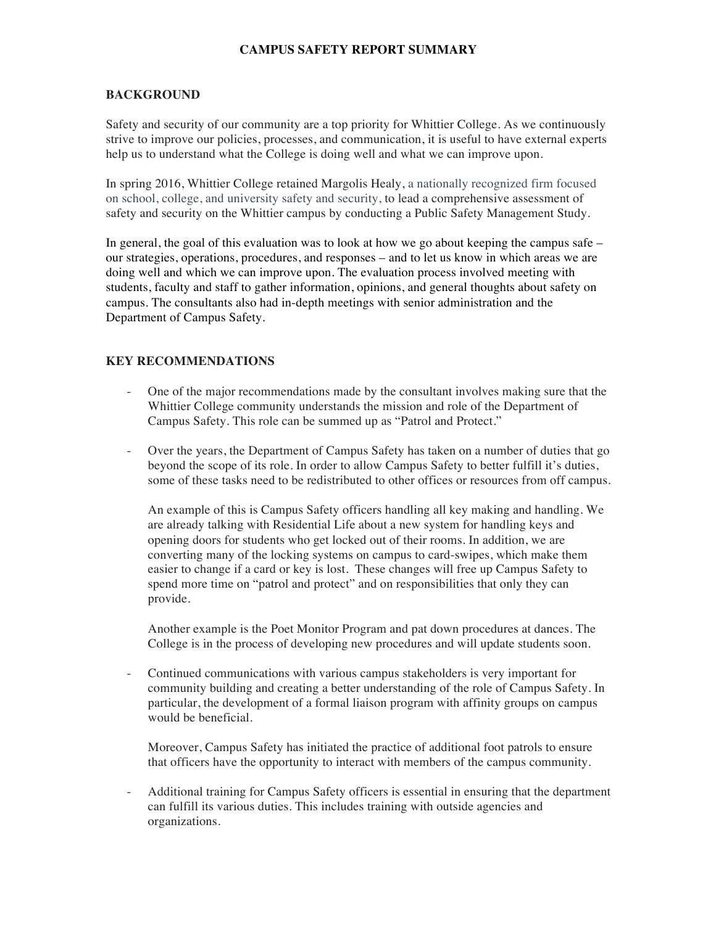## **CAMPUS SAFETY REPORT SUMMARY**

### **BACKGROUND**

Safety and security of our community are a top priority for Whittier College. As we continuously strive to improve our policies, processes, and communication, it is useful to have external experts help us to understand what the College is doing well and what we can improve upon.

In spring 2016, Whittier College retained Margolis Healy, a nationally recognized firm focused on school, college, and university safety and security, to lead a comprehensive assessment of safety and security on the Whittier campus by conducting a Public Safety Management Study.

In general, the goal of this evaluation was to look at how we go about keeping the campus safe – our strategies, operations, procedures, and responses – and to let us know in which areas we are doing well and which we can improve upon. The evaluation process involved meeting with students, faculty and staff to gather information, opinions, and general thoughts about safety on campus. The consultants also had in-depth meetings with senior administration and the Department of Campus Safety.

### **KEY RECOMMENDATIONS**

- One of the major recommendations made by the consultant involves making sure that the Whittier College community understands the mission and role of the Department of Campus Safety. This role can be summed up as "Patrol and Protect."
- Over the years, the Department of Campus Safety has taken on a number of duties that go beyond the scope of its role. In order to allow Campus Safety to better fulfill it's duties, some of these tasks need to be redistributed to other offices or resources from off campus.

An example of this is Campus Safety officers handling all key making and handling. We are already talking with Residential Life about a new system for handling keys and opening doors for students who get locked out of their rooms. In addition, we are converting many of the locking systems on campus to card-swipes, which make them easier to change if a card or key is lost. These changes will free up Campus Safety to spend more time on "patrol and protect" and on responsibilities that only they can provide.

Another example is the Poet Monitor Program and pat down procedures at dances. The College is in the process of developing new procedures and will update students soon.

- Continued communications with various campus stakeholders is very important for community building and creating a better understanding of the role of Campus Safety. In particular, the development of a formal liaison program with affinity groups on campus would be beneficial.

Moreover, Campus Safety has initiated the practice of additional foot patrols to ensure that officers have the opportunity to interact with members of the campus community.

- Additional training for Campus Safety officers is essential in ensuring that the department can fulfill its various duties. This includes training with outside agencies and organizations.